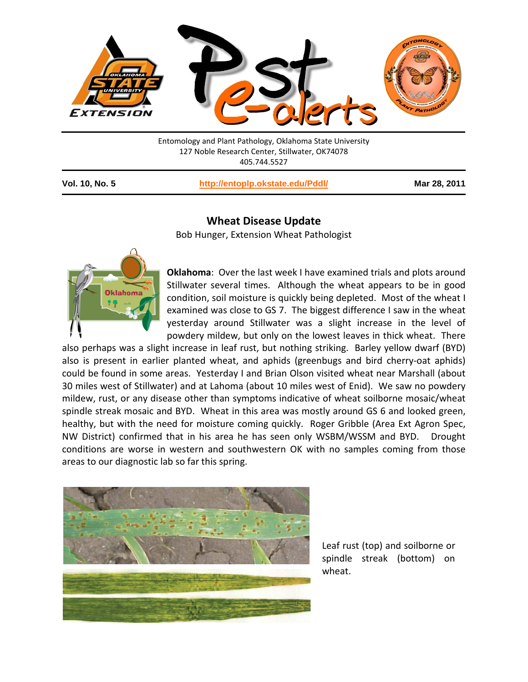

Entomology and Plant Pathology, Oklahoma State University 127 Noble Research Center, Stillwater, OK74078 405.744.5527

**Vol. 10, No. 5 <http://entoplp.okstate.edu/Pddl/> Mar 28, 2011**

### **Wheat Disease Update**

Bob Hunger, Extension Wheat Pathologist



**Oklahoma**: Over the last week I have examined trials and plots around Stillwater several times. Although the wheat appears to be in good condition, soil moisture is quickly being depleted. Most of the wheat I examined was close to GS 7. The biggest difference I saw in the wheat yesterday around Stillwater was a slight increase in the level of powdery mildew, but only on the lowest leaves in thick wheat. There

also perhaps was a slight increase in leaf rust, but nothing striking. Barley yellow dwarf (BYD) also is present in earlier planted wheat, and aphids (greenbugs and bird cherry-oat aphids) could be found in some areas. Yesterday I and Brian Olson visited wheat near Marshall (about 30 miles west of Stillwater) and at Lahoma (about 10 miles west of Enid). We saw no powdery mildew, rust, or any disease other than symptoms indicative of wheat soilborne mosaic/wheat spindle streak mosaic and BYD. Wheat in this area was mostly around GS 6 and looked green, healthy, but with the need for moisture coming quickly. Roger Gribble (Area Ext Agron Spec, NW District) confirmed that in his area he has seen only WSBM/WSSM and BYD. Drought conditions are worse in western and southwestern OK with no samples coming from those areas to our diagnostic lab so far this spring.



Leaf rust (top) and soilborne or spindle streak (bottom) on wheat.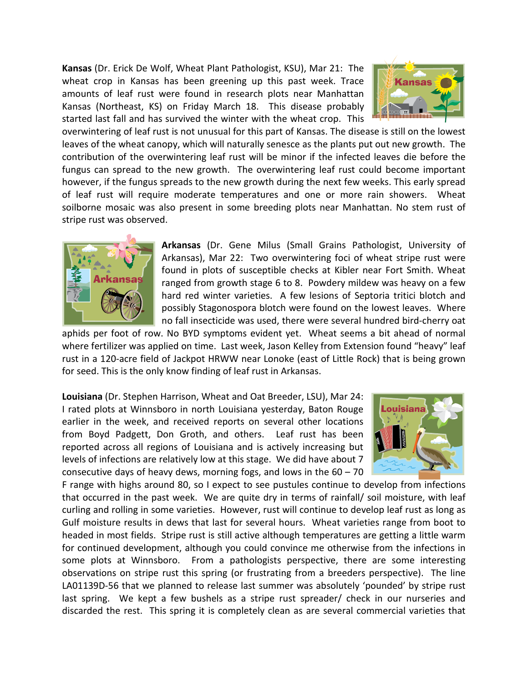**Kansas** (Dr. Erick De Wolf, Wheat Plant Pathologist, KSU), Mar 21: The wheat crop in Kansas has been greening up this past week. Trace amounts of leaf rust were found in research plots near Manhattan Kansas (Northeast, KS) on Friday March 18. This disease probably started last fall and has survived the winter with the wheat crop. This



overwintering of leaf rust is not unusual for this part of Kansas. The disease is still on the lowest leaves of the wheat canopy, which will naturally senesce as the plants put out new growth. The contribution of the overwintering leaf rust will be minor if the infected leaves die before the fungus can spread to the new growth. The overwintering leaf rust could become important however, if the fungus spreads to the new growth during the next few weeks. This early spread of leaf rust will require moderate temperatures and one or more rain showers. Wheat soilborne mosaic was also present in some breeding plots near Manhattan. No stem rust of stripe rust was observed.



**Arkansas** (Dr. Gene Milus (Small Grains Pathologist, University of Arkansas), Mar 22: Two overwintering foci of wheat stripe rust were found in plots of susceptible checks at Kibler near Fort Smith. Wheat ranged from growth stage 6 to 8. Powdery mildew was heavy on a few hard red winter varieties. A few lesions of Septoria tritici blotch and possibly Stagonospora blotch were found on the lowest leaves. Where no fall insecticide was used, there were several hundred bird-cherry oat

aphids per foot of row. No BYD symptoms evident yet. Wheat seems a bit ahead of normal where fertilizer was applied on time. Last week, Jason Kelley from Extension found "heavy" leaf rust in a 120-acre field of Jackpot HRWW near Lonoke (east of Little Rock) that is being grown for seed. This is the only know finding of leaf rust in Arkansas.

**Louisiana** (Dr. Stephen Harrison, Wheat and Oat Breeder, LSU), Mar 24: I rated plots at Winnsboro in north Louisiana yesterday, Baton Rouge earlier in the week, and received reports on several other locations from Boyd Padgett, Don Groth, and others. Leaf rust has been reported across all regions of Louisiana and is actively increasing but levels of infections are relatively low at this stage. We did have about 7 consecutive days of heavy dews, morning fogs, and lows in the  $60 - 70$ 



F range with highs around 80, so I expect to see pustules continue to develop from infections that occurred in the past week. We are quite dry in terms of rainfall/ soil moisture, with leaf curling and rolling in some varieties. However, rust will continue to develop leaf rust as long as Gulf moisture results in dews that last for several hours. Wheat varieties range from boot to headed in most fields. Stripe rust is still active although temperatures are getting a little warm for continued development, although you could convince me otherwise from the infections in some plots at Winnsboro. From a pathologists perspective, there are some interesting observations on stripe rust this spring (or frustrating from a breeders perspective). The line LA01139D-56 that we planned to release last summer was absolutely 'pounded' by stripe rust last spring. We kept a few bushels as a stripe rust spreader/ check in our nurseries and discarded the rest. This spring it is completely clean as are several commercial varieties that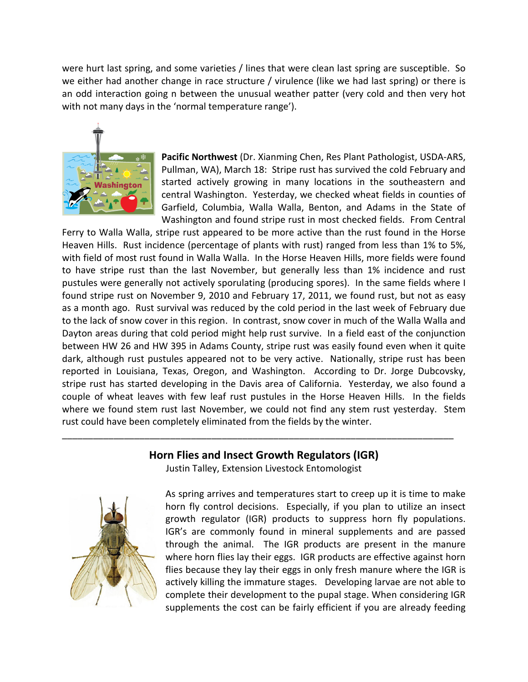were hurt last spring, and some varieties / lines that were clean last spring are susceptible. So we either had another change in race structure / virulence (like we had last spring) or there is an odd interaction going n between the unusual weather patter (very cold and then very hot with not many days in the 'normal temperature range').



**Pacific Northwest** (Dr. Xianming Chen, Res Plant Pathologist, USDA-ARS, Pullman, WA), March 18: Stripe rust has survived the cold February and started actively growing in many locations in the southeastern and central Washington. Yesterday, we checked wheat fields in counties of Garfield, Columbia, Walla Walla, Benton, and Adams in the State of Washington and found stripe rust in most checked fields. From Central

Ferry to Walla Walla, stripe rust appeared to be more active than the rust found in the Horse Heaven Hills. Rust incidence (percentage of plants with rust) ranged from less than 1% to 5%, with field of most rust found in Walla Walla. In the Horse Heaven Hills, more fields were found to have stripe rust than the last November, but generally less than 1% incidence and rust pustules were generally not actively sporulating (producing spores). In the same fields where I found stripe rust on November 9, 2010 and February 17, 2011, we found rust, but not as easy as a month ago. Rust survival was reduced by the cold period in the last week of February due to the lack of snow cover in this region. In contrast, snow cover in much of the Walla Walla and Dayton areas during that cold period might help rust survive. In a field east of the conjunction between HW 26 and HW 395 in Adams County, stripe rust was easily found even when it quite dark, although rust pustules appeared not to be very active. Nationally, stripe rust has been reported in Louisiana, Texas, Oregon, and Washington. According to Dr. Jorge Dubcovsky, stripe rust has started developing in the Davis area of California. Yesterday, we also found a couple of wheat leaves with few leaf rust pustules in the Horse Heaven Hills. In the fields where we found stem rust last November, we could not find any stem rust yesterday. Stem rust could have been completely eliminated from the fields by the winter.

## **Horn Flies and Insect Growth Regulators (IGR)**

\_\_\_\_\_\_\_\_\_\_\_\_\_\_\_\_\_\_\_\_\_\_\_\_\_\_\_\_\_\_\_\_\_\_\_\_\_\_\_\_\_\_\_\_\_\_\_\_\_\_\_\_\_\_\_\_\_\_\_\_\_\_\_\_\_\_\_\_\_\_\_\_\_\_\_\_

Justin Talley, Extension Livestock Entomologist



As spring arrives and temperatures start to creep up it is time to make horn fly control decisions. Especially, if you plan to utilize an insect growth regulator (IGR) products to suppress horn fly populations. IGR's are commonly found in mineral supplements and are passed through the animal. The IGR products are present in the manure where horn flies lay their eggs. IGR products are effective against horn flies because they lay their eggs in only fresh manure where the IGR is actively killing the immature stages. Developing larvae are not able to complete their development to the pupal stage. When considering IGR supplements the cost can be fairly efficient if you are already feeding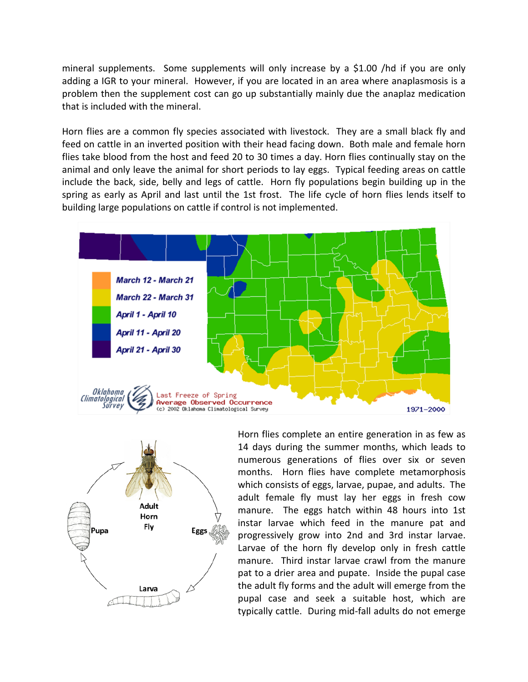mineral supplements. Some supplements will only increase by a \$1.00 /hd if you are only adding a IGR to your mineral. However, if you are located in an area where anaplasmosis is a problem then the supplement cost can go up substantially mainly due the anaplaz medication that is included with the mineral.

Horn flies are a common fly species associated with livestock. They are a small black fly and feed on cattle in an inverted position with their head facing down. Both male and female horn flies take blood from the host and feed 20 to 30 times a day. Horn flies continually stay on the animal and only leave the animal for short periods to lay eggs. Typical feeding areas on cattle include the back, side, belly and legs of cattle. Horn fly populations begin building up in the spring as early as April and last until the 1st frost. The life cycle of horn flies lends itself to building large populations on cattle if control is not implemented.





Horn flies complete an entire generation in as few as 14 days during the summer months, which leads to numerous generations of flies over six or seven months. Horn flies have complete metamorphosis which consists of eggs, larvae, pupae, and adults. The adult female fly must lay her eggs in fresh cow manure. The eggs hatch within 48 hours into 1st instar larvae which feed in the manure pat and progressively grow into 2nd and 3rd instar larvae. Larvae of the horn fly develop only in fresh cattle manure. Third instar larvae crawl from the manure pat to a drier area and pupate. Inside the pupal case the adult fly forms and the adult will emerge from the pupal case and seek a suitable host, which are typically cattle. During mid-fall adults do not emerge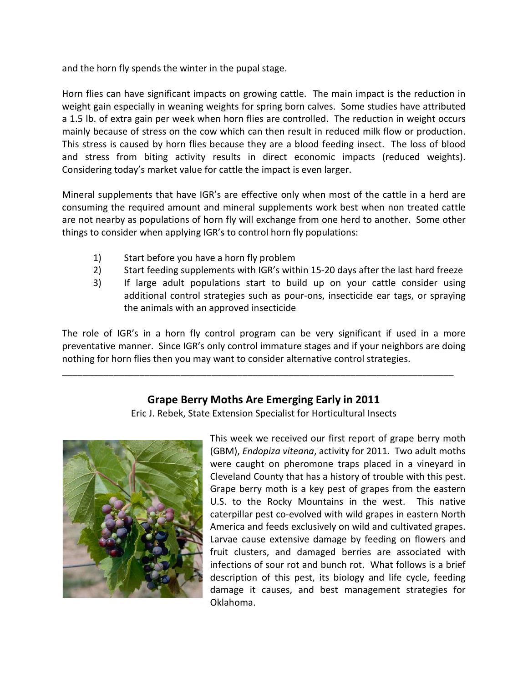and the horn fly spends the winter in the pupal stage.

Horn flies can have significant impacts on growing cattle. The main impact is the reduction in weight gain especially in weaning weights for spring born calves. Some studies have attributed a 1.5 lb. of extra gain per week when horn flies are controlled. The reduction in weight occurs mainly because of stress on the cow which can then result in reduced milk flow or production. This stress is caused by horn flies because they are a blood feeding insect. The loss of blood and stress from biting activity results in direct economic impacts (reduced weights). Considering today's market value for cattle the impact is even larger.

Mineral supplements that have IGR's are effective only when most of the cattle in a herd are consuming the required amount and mineral supplements work best when non treated cattle are not nearby as populations of horn fly will exchange from one herd to another. Some other things to consider when applying IGR's to control horn fly populations:

- 1) Start before you have a horn fly problem
- 2) Start feeding supplements with IGR's within 15-20 days after the last hard freeze
- 3) If large adult populations start to build up on your cattle consider using additional control strategies such as pour-ons, insecticide ear tags, or spraying the animals with an approved insecticide

The role of IGR's in a horn fly control program can be very significant if used in a more preventative manner. Since IGR's only control immature stages and if your neighbors are doing nothing for horn flies then you may want to consider alternative control strategies.

# **Grape Berry Moths Are Emerging Early in 2011**

\_\_\_\_\_\_\_\_\_\_\_\_\_\_\_\_\_\_\_\_\_\_\_\_\_\_\_\_\_\_\_\_\_\_\_\_\_\_\_\_\_\_\_\_\_\_\_\_\_\_\_\_\_\_\_\_\_\_\_\_\_\_\_\_\_\_\_\_\_\_\_\_\_\_\_\_

Eric J. Rebek, State Extension Specialist for Horticultural Insects



This week we received our first report of grape berry moth (GBM), *Endopiza viteana*, activity for 2011. Two adult moths were caught on pheromone traps placed in a vineyard in Cleveland County that has a history of trouble with this pest. Grape berry moth is a key pest of grapes from the eastern U.S. to the Rocky Mountains in the west. This native caterpillar pest co-evolved with wild grapes in eastern North America and feeds exclusively on wild and cultivated grapes. Larvae cause extensive damage by feeding on flowers and fruit clusters, and damaged berries are associated with infections of sour rot and bunch rot. What follows is a brief description of this pest, its biology and life cycle, feeding damage it causes, and best management strategies for Oklahoma.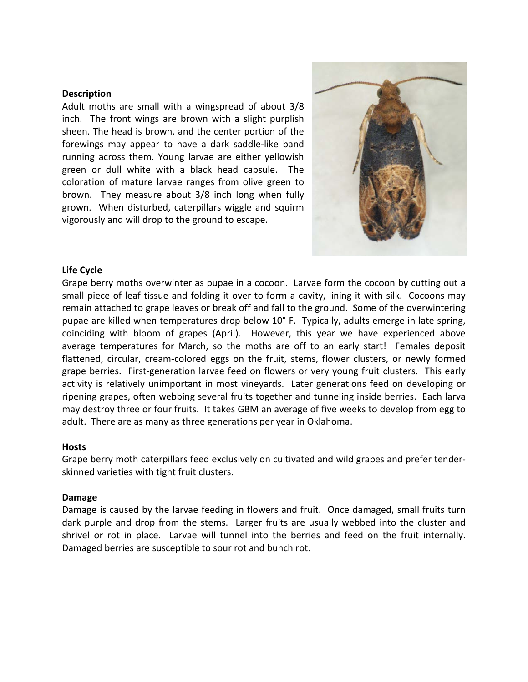#### **Description**

Adult moths are small with a wingspread of about 3/8 inch. The front wings are brown with a slight purplish sheen. The head is brown, and the center portion of the forewings may appear to have a dark saddle-like band running across them. Young larvae are either yellowish green or dull white with a black head capsule. The coloration of mature larvae ranges from olive green to brown. They measure about 3/8 inch long when fully grown. When disturbed, caterpillars wiggle and squirm vigorously and will drop to the ground to escape.



### **Life Cycle**

Grape berry moths overwinter as pupae in a cocoon. Larvae form the cocoon by cutting out a small piece of leaf tissue and folding it over to form a cavity, lining it with silk. Cocoons may remain attached to grape leaves or break off and fall to the ground. Some of the overwintering pupae are killed when temperatures drop below 10° F. Typically, adults emerge in late spring, coinciding with bloom of grapes (April). However, this year we have experienced above average temperatures for March, so the moths are off to an early start! Females deposit flattened, circular, cream-colored eggs on the fruit, stems, flower clusters, or newly formed grape berries. First-generation larvae feed on flowers or very young fruit clusters. This early activity is relatively unimportant in most vineyards. Later generations feed on developing or ripening grapes, often webbing several fruits together and tunneling inside berries. Each larva may destroy three or four fruits. It takes GBM an average of five weeks to develop from egg to adult. There are as many as three generations per year in Oklahoma.

#### **Hosts**

Grape berry moth caterpillars feed exclusively on cultivated and wild grapes and prefer tenderskinned varieties with tight fruit clusters.

### **Damage**

Damage is caused by the larvae feeding in flowers and fruit. Once damaged, small fruits turn dark purple and drop from the stems. Larger fruits are usually webbed into the cluster and shrivel or rot in place. Larvae will tunnel into the berries and feed on the fruit internally. Damaged berries are susceptible to sour rot and bunch rot.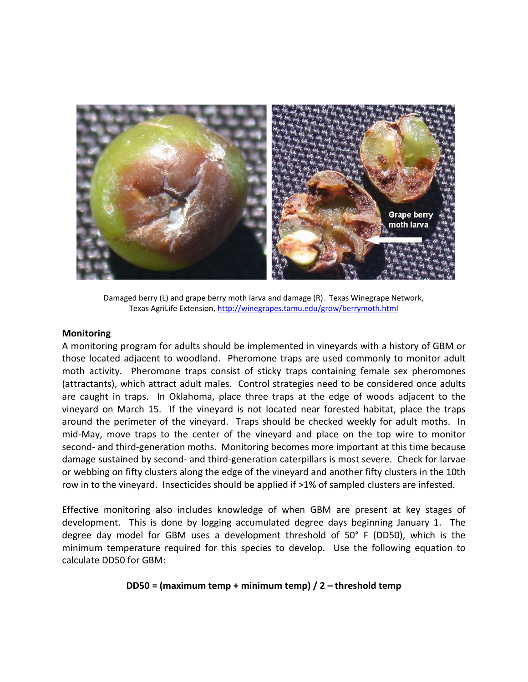

Damaged berry (L) and grape berry moth larva and damage (R). Texas Winegrape Network, Texas AgriLife Extension[, http://winegrapes.tamu.edu/grow/berrymoth.html](http://winegrapes.tamu.edu/grow/berrymoth.html)

#### **Monitoring**

A monitoring program for adults should be implemented in vineyards with a history of GBM or those located adjacent to woodland. Pheromone traps are used commonly to monitor adult moth activity. Pheromone traps consist of sticky traps containing female sex pheromones (attractants), which attract adult males. Control strategies need to be considered once adults are caught in traps. In Oklahoma, place three traps at the edge of woods adjacent to the vineyard on March 15. If the vineyard is not located near forested habitat, place the traps around the perimeter of the vineyard. Traps should be checked weekly for adult moths. In mid-May, move traps to the center of the vineyard and place on the top wire to monitor second- and third-generation moths. Monitoring becomes more important at this time because damage sustained by second- and third-generation caterpillars is most severe. Check for larvae or webbing on fifty clusters along the edge of the vineyard and another fifty clusters in the 10th row in to the vineyard. Insecticides should be applied if >1% of sampled clusters are infested.

Effective monitoring also includes knowledge of when GBM are present at key stages of development. This is done by logging accumulated degree days beginning January 1. The degree day model for GBM uses a development threshold of 50° F (DD50), which is the minimum temperature required for this species to develop. Use the following equation to calculate DD50 for GBM:

### **DD50 = (maximum temp + minimum temp) / 2 – threshold temp**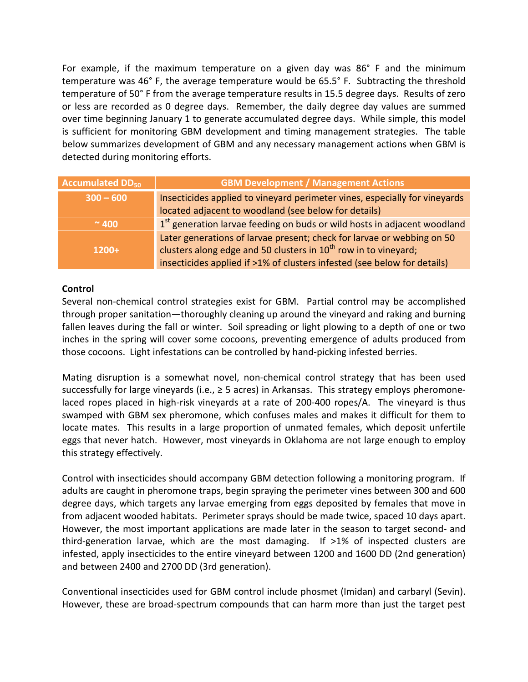For example, if the maximum temperature on a given day was 86° F and the minimum temperature was 46° F, the average temperature would be 65.5° F. Subtracting the threshold temperature of 50° F from the average temperature results in 15.5 degree days. Results of zero or less are recorded as 0 degree days. Remember, the daily degree day values are summed over time beginning January 1 to generate accumulated degree days. While simple, this model is sufficient for monitoring GBM development and timing management strategies. The table below summarizes development of GBM and any necessary management actions when GBM is detected during monitoring efforts.

| <b>Accumulated DD<sub>50</sub></b> | <b>GBM Development / Management Actions</b>                                                                                                                                                                                       |  |  |
|------------------------------------|-----------------------------------------------------------------------------------------------------------------------------------------------------------------------------------------------------------------------------------|--|--|
| $300 - 600$                        | Insecticides applied to vineyard perimeter vines, especially for vineyards                                                                                                                                                        |  |  |
|                                    | located adjacent to woodland (see below for details)                                                                                                                                                                              |  |  |
| $~\sim$ 400                        | 1 <sup>st</sup> generation larvae feeding on buds or wild hosts in adjacent woodland                                                                                                                                              |  |  |
| $1200+$                            | Later generations of larvae present; check for larvae or webbing on 50<br>clusters along edge and 50 clusters in 10 <sup>th</sup> row in to vineyard;<br>insecticides applied if >1% of clusters infested (see below for details) |  |  |

## **Control**

Several non-chemical control strategies exist for GBM. Partial control may be accomplished through proper sanitation—thoroughly cleaning up around the vineyard and raking and burning fallen leaves during the fall or winter. Soil spreading or light plowing to a depth of one or two inches in the spring will cover some cocoons, preventing emergence of adults produced from those cocoons. Light infestations can be controlled by hand-picking infested berries.

Mating disruption is a somewhat novel, non-chemical control strategy that has been used successfully for large vineyards (i.e.,  $\geq 5$  acres) in Arkansas. This strategy employs pheromonelaced ropes placed in high-risk vineyards at a rate of 200-400 ropes/A. The vineyard is thus swamped with GBM sex pheromone, which confuses males and makes it difficult for them to locate mates. This results in a large proportion of unmated females, which deposit unfertile eggs that never hatch. However, most vineyards in Oklahoma are not large enough to employ this strategy effectively.

Control with insecticides should accompany GBM detection following a monitoring program. If adults are caught in pheromone traps, begin spraying the perimeter vines between 300 and 600 degree days, which targets any larvae emerging from eggs deposited by females that move in from adjacent wooded habitats. Perimeter sprays should be made twice, spaced 10 days apart. However, the most important applications are made later in the season to target second- and third-generation larvae, which are the most damaging. If >1% of inspected clusters are infested, apply insecticides to the entire vineyard between 1200 and 1600 DD (2nd generation) and between 2400 and 2700 DD (3rd generation).

Conventional insecticides used for GBM control include phosmet (Imidan) and carbaryl (Sevin). However, these are broad-spectrum compounds that can harm more than just the target pest